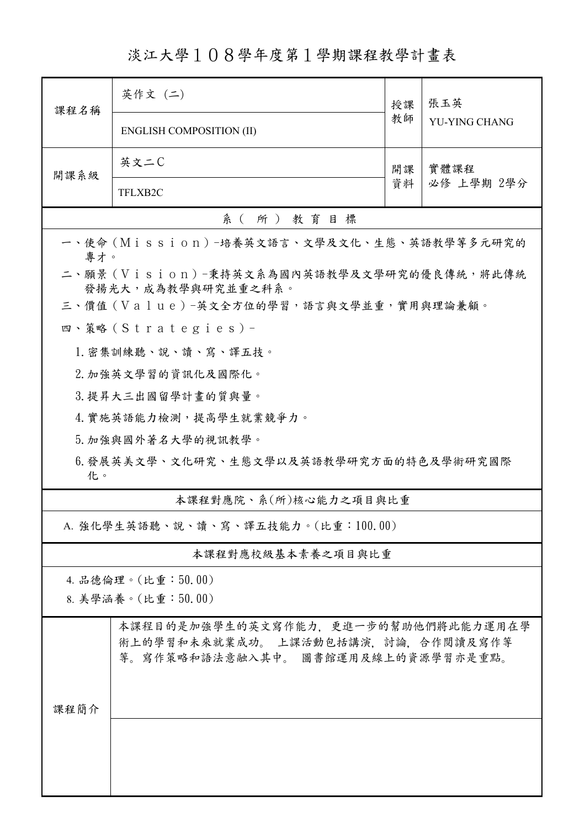淡江大學108學年度第1學期課程教學計畫表

| 課程名稱                                                            | 英作文 (二)                                                                                                           | 授課 | 張玉英<br><b>YU-YING CHANG</b> |  |  |
|-----------------------------------------------------------------|-------------------------------------------------------------------------------------------------------------------|----|-----------------------------|--|--|
|                                                                 | <b>ENGLISH COMPOSITION (II)</b>                                                                                   | 教師 |                             |  |  |
| 開課系級                                                            | 英文二C                                                                                                              | 開課 | 實體課程                        |  |  |
|                                                                 | TFLXB2C                                                                                                           | 資料 | 必修 上學期 2學分                  |  |  |
| 系(所)教育目標                                                        |                                                                                                                   |    |                             |  |  |
| 一、使命 (Mission) -培養英文語言、文學及文化、生態、英語教學等多元研究的<br>專才。               |                                                                                                                   |    |                             |  |  |
| 二、願景 (Vision)-秉持英文系為國內英語教學及文學研究的優良傳統,將此傳統<br>發揚光大,成為教學與研究並重之科系。 |                                                                                                                   |    |                             |  |  |
|                                                                 | 三、價值 (Value)-英文全方位的學習,語言與文學並重,實用與理論兼顧。                                                                            |    |                             |  |  |
|                                                                 | 四、策略(Strategies)-                                                                                                 |    |                             |  |  |
|                                                                 | 1. 密集訓練聽、說、讀、寫、譯五技。                                                                                               |    |                             |  |  |
|                                                                 | 2. 加強英文學習的資訊化及國際化。                                                                                                |    |                             |  |  |
|                                                                 | 3. 提昇大三出國留學計畫的質與量。                                                                                                |    |                             |  |  |
|                                                                 | 4. 實施英語能力檢測,提高學生就業競爭力。                                                                                            |    |                             |  |  |
|                                                                 | 5. 加強與國外著名大學的視訊教學。                                                                                                |    |                             |  |  |
| 6.發展英美文學、文化研究、生態文學以及英語教學研究方面的特色及學術研究國際<br>化。                    |                                                                                                                   |    |                             |  |  |
| 本課程對應院、系(所)核心能力之項目與比重                                           |                                                                                                                   |    |                             |  |  |
| A. 強化學生英語聽、說、讀、寫、譯五技能力。(比重:100.00)                              |                                                                                                                   |    |                             |  |  |
| 本課程對應校級基本素養之項目與比重                                               |                                                                                                                   |    |                             |  |  |
|                                                                 | 4. 品德倫理。(比重:50.00)                                                                                                |    |                             |  |  |
|                                                                 | 8. 美學涵養。(比重:50.00)                                                                                                |    |                             |  |  |
| 課程簡介                                                            | 本課程目的是加強學生的英文寫作能力,更進一步的幫助他們將此能力運用在學<br>術上的學習和未來就業成功。 上課活動包括講演, 討論, 合作閲讀及寫作等<br>等。寫作策略和語法意融入其中。 圖書館運用及線上的資源學習亦是重點。 |    |                             |  |  |
|                                                                 |                                                                                                                   |    |                             |  |  |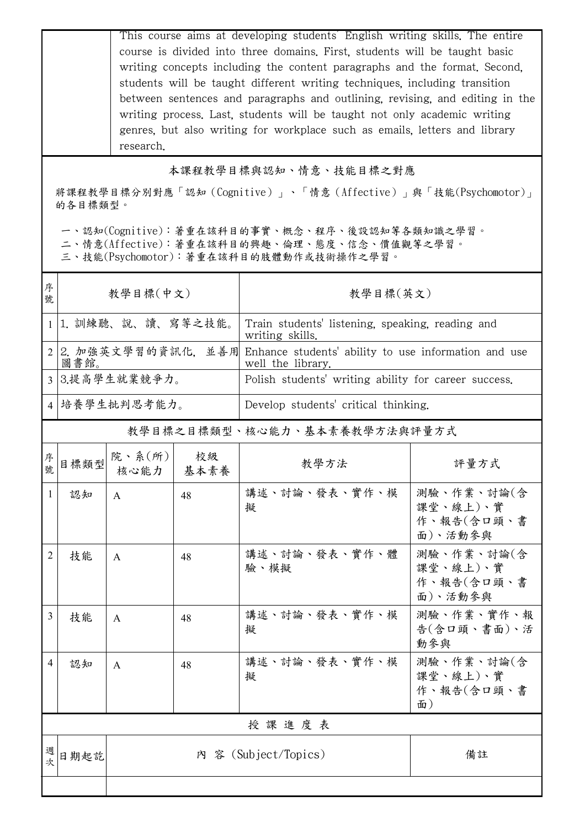This course aims at developing students' English writing skills. The entire course is divided into three domains. First, students will be taught basic writing concepts including the content paragraphs and the format. Second, students will be taught different writing techniques, including transition between sentences and paragraphs and outlining, revising, and editing in the writing process. Last, students will be taught not only academic writing genres, but also writing for workplace such as emails, letters and library research.

## 本課程教學目標與認知、情意、技能目標之對應

將課程教學目標分別對應「認知(Cognitive)」、「情意(Affective)」與「技能(Psychomotor)」 的各目標類型。

一、認知(Cognitive):著重在該科目的事實、概念、程序、後設認知等各類知識之學習。

二、情意(Affective):著重在該科目的興趣、倫理、態度、信念、價值觀等之學習。

三、技能(Psychomotor):著重在該科目的肢體動作或技術操作之學習。

| 序<br>號         | 教學目標(中文)                     |                                 |    | 教學目標(英文)                                                                  |                                                 |  |
|----------------|------------------------------|---------------------------------|----|---------------------------------------------------------------------------|-------------------------------------------------|--|
|                |                              | 1 1. 訓練聽、說、讀、寫等之技能。             |    | Train students' listening, speaking, reading and<br>writing skills.       |                                                 |  |
| 2 <sup>1</sup> | 2. 加強英文學習的資訊化, 並善用<br>圖書館。   |                                 |    | Enhance students' ability to use information and use<br>well the library. |                                                 |  |
|                | 3 3.提高學生就業競爭力。               |                                 |    | Polish students' writing ability for career success.                      |                                                 |  |
|                | 4 培養學生批判思考能力。                |                                 |    | Develop students' critical thinking.                                      |                                                 |  |
|                | 教學目標之目標類型、核心能力、基本素養教學方法與評量方式 |                                 |    |                                                                           |                                                 |  |
| 序號             | 目標類型                         | 院、系 $(\text{m})$<br>核心能力   基本素養 | 校級 | 教學方法                                                                      | 評量方式                                            |  |
| $\mathbf{1}$   | 認知                           | A                               | 48 | 講述、討論、發表、實作、模<br>擬                                                        | 測驗、作業、討論(含<br>課堂、線上)、實<br>作、報告(会口頭、書<br>面)、活動參與 |  |
| 2              | 技能                           | A                               | 48 | 講述、討論、發表、實作、體<br>驗、模擬                                                     | 測驗、作業、討論(含<br>課堂、線上)、實<br>作、報告(含口頭、書<br>面)、活動參與 |  |
| 3              | 技能                           | A                               | 48 | 講述、討論、發表、實作、模<br>擬                                                        | 測驗、作業、實作、報<br>告(含口頭、書面)、活<br>動參與                |  |
| 4              | 認知                           | A                               | 48 | 講述、討論、發表、實作、模<br>擬                                                        | 測驗、作業、討論(含<br>課堂、線上)、實<br>作、報告(含口頭、書<br>面)      |  |
| 授課進度表          |                              |                                 |    |                                                                           |                                                 |  |
| 週次             | 日期起訖                         |                                 |    | 内 容 (Subject/Topics)                                                      | 備註                                              |  |
|                |                              |                                 |    |                                                                           |                                                 |  |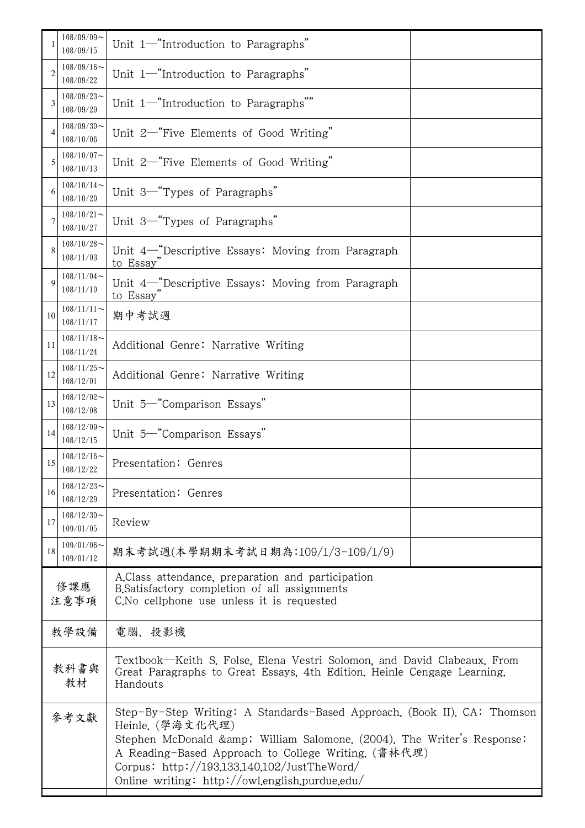|                | $108/09/09$ ~<br>108/09/15                                        | Unit 1-"Introduction to Paragraphs"                                                                                                                                                                                                                                                                                           |  |
|----------------|-------------------------------------------------------------------|-------------------------------------------------------------------------------------------------------------------------------------------------------------------------------------------------------------------------------------------------------------------------------------------------------------------------------|--|
| $\overline{c}$ | $108/09/16$ ~<br>108/09/22                                        | Unit 1-"Introduction to Paragraphs"                                                                                                                                                                                                                                                                                           |  |
| 3              | $108/09/23$ ~<br>108/09/29                                        | Unit 1-"Introduction to Paragraphs""                                                                                                                                                                                                                                                                                          |  |
| 4              | $108/09/30$ ~<br>108/10/06                                        | Unit 2-"Five Elements of Good Writing"                                                                                                                                                                                                                                                                                        |  |
| 5              | $108/10/07$ ~<br>108/10/13                                        | Unit 2-"Five Elements of Good Writing"                                                                                                                                                                                                                                                                                        |  |
| 6              | $108/10/14$ ~<br>108/10/20                                        | Unit 3 <sup>-"</sup> Types of Paragraphs"                                                                                                                                                                                                                                                                                     |  |
| 7              | $108/10/21$ ~<br>108/10/27                                        | Unit 3-"Types of Paragraphs"                                                                                                                                                                                                                                                                                                  |  |
| 8              | $108/10/28$ ~<br>108/11/03                                        | Unit 4-"Descriptive Essays: Moving from Paragraph<br>to Essay                                                                                                                                                                                                                                                                 |  |
| $\mathbf Q$    | $108/11/04$ ~<br>108/11/10                                        | Unit 4-"Descriptive Essays: Moving from Paragraph<br>to Essay                                                                                                                                                                                                                                                                 |  |
| 10             | $108/11/11$ ~<br>108/11/17                                        | 期中考試週                                                                                                                                                                                                                                                                                                                         |  |
| 11             | $108/11/18$ ~<br>Additional Genre: Narrative Writing<br>108/11/24 |                                                                                                                                                                                                                                                                                                                               |  |
| 12             | $108/11/25$ ~<br>Additional Genre: Narrative Writing<br>108/12/01 |                                                                                                                                                                                                                                                                                                                               |  |
| 13             | $108/12/02$ ~<br>108/12/08                                        | Unit 5 <sup>-"</sup> Comparison Essays"                                                                                                                                                                                                                                                                                       |  |
| 14             | $108/12/09$ ~<br>108/12/15                                        | Unit 5-"Comparison Essays"                                                                                                                                                                                                                                                                                                    |  |
| 15             | $108/12/16$ ~<br>108/12/22                                        | Presentation: Genres                                                                                                                                                                                                                                                                                                          |  |
| 16             | $108/12/23$ ~<br>108/12/29                                        | Presentation: Genres                                                                                                                                                                                                                                                                                                          |  |
| 17             | $108/12/30$ ~<br>109/01/05                                        | Review                                                                                                                                                                                                                                                                                                                        |  |
| 18             | $109/01/06$ ~<br>109/01/12                                        | 期末考試週(本學期期末考試日期為:109/1/3-109/1/9)                                                                                                                                                                                                                                                                                             |  |
| 修課應<br>注意事項    |                                                                   | A.Class attendance, preparation and participation<br>B. Satisfactory completion of all assignments<br>C. No cellphone use unless it is requested                                                                                                                                                                              |  |
| 教學設備           |                                                                   | 電腦、投影機                                                                                                                                                                                                                                                                                                                        |  |
| 教科書與<br>教材     |                                                                   | Textbook—Keith S. Folse, Elena Vestri Solomon, and David Clabeaux. From<br>Great Paragraphs to Great Essays, 4th Edition, Heinle Cengage Learning.<br>Handouts                                                                                                                                                                |  |
| 參考文獻           |                                                                   | Step-By-Step Writing: A Standards-Based Approach. (Book II). CA: Thomson<br>Heinle. (學海文化代理)<br>Stephen McDonald & William Salomone. (2004). The Writer's Response:<br>A Reading-Based Approach to College Writing. (書林代理)<br>Corpus: http://193.133.140.102/JustTheWord/<br>Online writing: $http://owl.english.purdue.edu/$ |  |